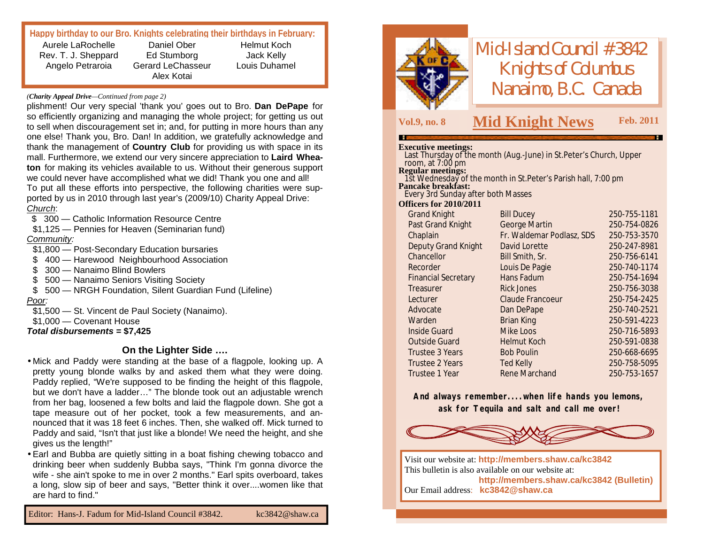## **Happy birthday to our Bro. Knights celebrating their birthdays in February:**

Aurele LaRochelle Rev. T. J. Sheppard Angelo Petraroia

Daniel Ober Ed Stumborg Gerard LeChasseur Alex Kotai

Helmut Koch Jack Kelly Louis Duhamel

#### *(Charity Appeal Drive—Continued from page 2)*

plishment! Our very special 'thank you' goes out to Bro. **Dan DePape** for so efficiently organizing and managing the whole project; for getting us out to sell when discouragement set in; and, for putting in more hours than any one else! Thank you, Bro. Dan! In addition, we gratefully acknowledge and thank the management of **Country Club** for providing us with space in its mall. Furthermore, we extend our very sincere appreciation to **Laird Wheaton** for making its vehicles available to us. Without their generous support we could never have accomplished what we did! Thank you one and all! To put all these efforts into perspective, the following charities were supported by us in 2010 through last year's (2009/10) Charity Appeal Drive: *Church*:

\$ 300 – Catholic Information Resource Centre

\$1,125 — Pennies for Heaven (Seminarian fund) *Community:*

\$1,800 — Post-Secondary Education bursaries

\$ 400 – Harewood Neighbourhood Association

\$ 300 — Nanaimo Blind Bowlers

\$ 500 — Nanaimo Seniors Visiting Society

\$ 500 — NRGH Foundation, Silent Guardian Fund (Lifeline) *Poor:*

\$1,500 — St. Vincent de Paul Society (Nanaimo).

\$1,000 — Covenant House

*Total disbursements* **= \$7,425**

#### **On the Lighter Side ….**

- •Mick and Paddy were standing at the base of a flagpole, looking up. A pretty young blonde walks by and asked them what they were doing. Paddy replied, "We're supposed to be finding the height of this flagpole, but we don't have a ladder…" The blonde took out an adjustable wrench from her bag, loosened a few bolts and laid the flagpole down. She got a tape measure out of her pocket, took a few measurements, and announced that it was 18 feet 6 inches. Then, she walked off. Mick turned to Paddy and said, "Isn't that just like a blonde! We need the height, and she gives us the length!"
- •Earl and Bubba are quietly sitting in a boat fishing chewing tobacco and drinking beer when suddenly Bubba says, "Think I'm gonna divorce the wife - she ain't spoke to me in over 2 months." Earl spits overboard, takes a long, slow sip of beer and says, "Better think it over....women like that are hard to find."

Editor: Hans-J. Fadum for Mid-Island Council #3842. [kc3842@shaw.ca](mailto:kc3842@shaw.ca)



*Mid-Island Council #3842 Knights of Columbus Nanaimo, B.C. Canada*

# **Vol.9, no. <sup>8</sup> M Feb. <sup>2011</sup> id Knight News**

| <b>Executive meetings:</b>                           |                                                                                    |              |
|------------------------------------------------------|------------------------------------------------------------------------------------|--------------|
|                                                      | Last Thursday of the month (Aug.-June) in St. Peter's Church, Upper                |              |
| room, at $7:00$ pm                                   |                                                                                    |              |
|                                                      | Regular meetings:<br>1st Wednesday of the month in St.Peter's Parish hall, 7:00 pm |              |
| <b>Pancake breakfast:</b>                            |                                                                                    |              |
| Every 3rd Sunday after both Masses                   |                                                                                    |              |
| <b>Officers for 2010/2011</b><br><b>Grand Knight</b> | <b>Bill Ducey</b>                                                                  | 250-755-1181 |
| Past Grand Knight                                    | George Martin                                                                      | 250-754-0826 |
| Chaplain                                             | Fr. Waldemar Podlasz, SDS                                                          | 250-753-3570 |
| Deputy Grand Knight                                  | David Lorette                                                                      | 250-247-8981 |
| Chancellor                                           | Bill Smith, Sr.                                                                    | 250-756-6141 |
| Recorder                                             | Louis De Pagie                                                                     | 250-740-1174 |
| <b>Financial Secretary</b>                           | Hans Fadum                                                                         | 250-754-1694 |
| Treasurer                                            | <b>Rick Jones</b>                                                                  | 250-756-3038 |
| Lecturer                                             | Claude Francoeur                                                                   | 250-754-2425 |
| Advocate                                             | Dan DePape                                                                         | 250-740-2521 |
| Warden                                               | <b>Brian King</b>                                                                  | 250-591-4223 |
| Inside Guard                                         | Mike Loos                                                                          | 250-716-5893 |
| <b>Outside Guard</b>                                 | <b>Helmut Koch</b>                                                                 | 250-591-0838 |
| Trustee 3 Years                                      | <b>Bob Poulin</b>                                                                  | 250-668-6695 |
| Trustee 2 Years                                      | <b>Ted Kelly</b>                                                                   | 250-758-5095 |
| Trustee 1 Year                                       | Rene Marchand                                                                      | 250-753-1657 |

**And always remember....when life hands you lemons, ask for Tequila and salt and call me over!**



Visit our website at: **<http://members.shaw.ca/kc3842>** This bulletin is also available on our website at: **<http://members.shaw.ca/kc3842> (Bulletin)** Our Email address: **[kc3842@shaw.ca](mailto:kc3842@shaw.ca)**